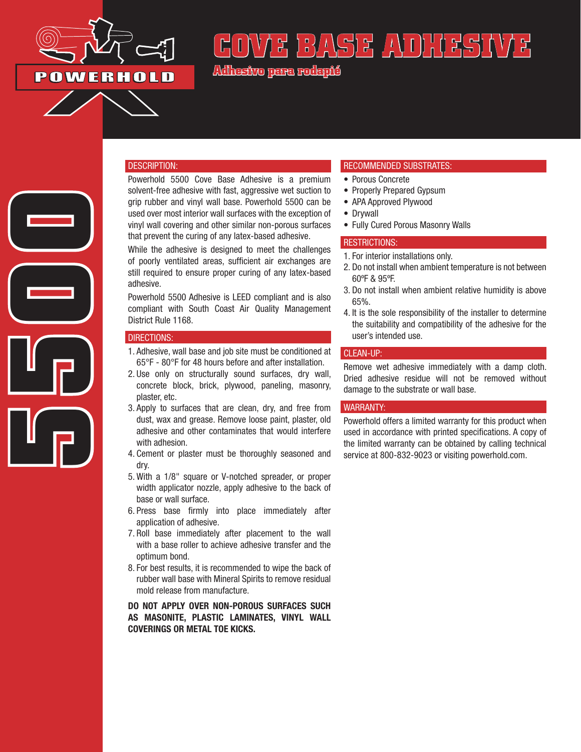

# **E BASE ADHESI**

**Adhesivo para rodapié**

## DESCRIPTION:

Powerhold 5500 Cove Base Adhesive is a premium solvent-free adhesive with fast, aggressive wet suction to grip rubber and vinyl wall base. Powerhold 5500 can be used over most interior wall surfaces with the exception of vinyl wall covering and other similar non-porous surfaces that prevent the curing of any latex-based adhesive.

While the adhesive is designed to meet the challenges of poorly ventilated areas, sufficient air exchanges are still required to ensure proper curing of any latex-based adhesive.

Powerhold 5500 Adhesive is LEED compliant and is also compliant with South Coast Air Quality Management District Rule 1168.

### DIRECTIONS:

**5500**

- 1. Adhesive, wall base and job site must be conditioned at 65°F - 80°F for 48 hours before and after installation.
- 2. Use only on structurally sound surfaces, dry wall, concrete block, brick, plywood, paneling, masonry, plaster, etc.
- 3. Apply to surfaces that are clean, dry, and free from dust, wax and grease. Remove loose paint, plaster, old adhesive and other contaminates that would interfere with adhesion.
- 4. Cement or plaster must be thoroughly seasoned and dry.
- 5. With a 1/8" square or V-notched spreader, or proper width applicator nozzle, apply adhesive to the back of base or wall surface.
- 6. Press base firmly into place immediately after application of adhesive.
- 7. Roll base immediately after placement to the wall with a base roller to achieve adhesive transfer and the optimum bond.
- 8. For best results, it is recommended to wipe the back of rubber wall base with Mineral Spirits to remove residual mold release from manufacture.

DO NOT APPLY OVER NON-POROUS SURFACES SUCH AS MASONITE, PLASTIC LAMINATES, VINYL WALL COVERINGS OR METAL TOE KICKS.

## RECOMMENDED SUBSTRATES:

- Porous Concrete
- Properly Prepared Gypsum
- APA Approved Plywood
- Drywall
- Fully Cured Porous Masonry Walls

#### RESTRICTIONS:

- 1. For interior installations only.
- 2. Do not install when ambient temperature is not between 60ºF & 95ºF.
- 3. Do not install when ambient relative humidity is above 65%.
- 4. It is the sole responsibility of the installer to determine the suitability and compatibility of the adhesive for the user's intended use.

#### CLEAN-UP:

Remove wet adhesive immediately with a damp cloth. Dried adhesive residue will not be removed without damage to the substrate or wall base.

## WARRANTY:

Powerhold offers a limited warranty for this product when used in accordance with printed specifications. A copy of the limited warranty can be obtained by calling technical service at 800-832-9023 or visiting powerhold.com.